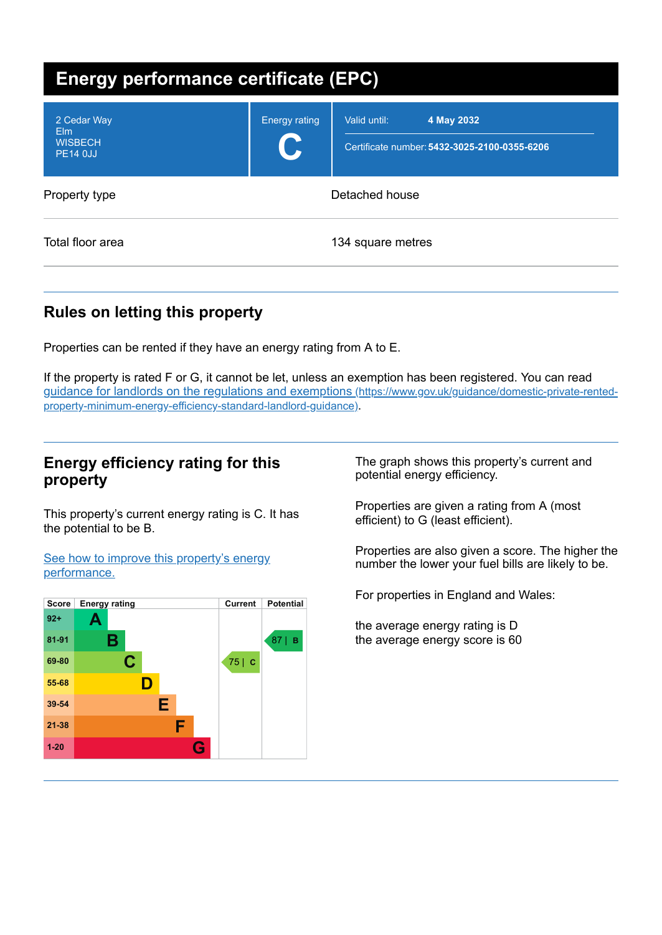| <b>Energy performance certificate (EPC)</b>             |                           |                                                                            |  |
|---------------------------------------------------------|---------------------------|----------------------------------------------------------------------------|--|
| 2 Cedar Way<br>Elm<br><b>WISBECH</b><br><b>PE14 0JJ</b> | <b>Energy rating</b><br>C | Valid until:<br>4 May 2032<br>Certificate number: 5432-3025-2100-0355-6206 |  |
| Property type                                           |                           | Detached house                                                             |  |
| Total floor area                                        |                           | 134 square metres                                                          |  |

# **Rules on letting this property**

Properties can be rented if they have an energy rating from A to E.

If the property is rated F or G, it cannot be let, unless an exemption has been registered. You can read guidance for landlords on the regulations and exemptions (https://www.gov.uk/guidance/domestic-private-rented[property-minimum-energy-efficiency-standard-landlord-guidance\)](https://www.gov.uk/guidance/domestic-private-rented-property-minimum-energy-efficiency-standard-landlord-guidance).

## **Energy efficiency rating for this property**

This property's current energy rating is C. It has the potential to be B.

See how to improve this property's energy [performance.](#page-2-0)



The graph shows this property's current and potential energy efficiency.

Properties are given a rating from A (most efficient) to G (least efficient).

Properties are also given a score. The higher the number the lower your fuel bills are likely to be.

For properties in England and Wales:

the average energy rating is D the average energy score is 60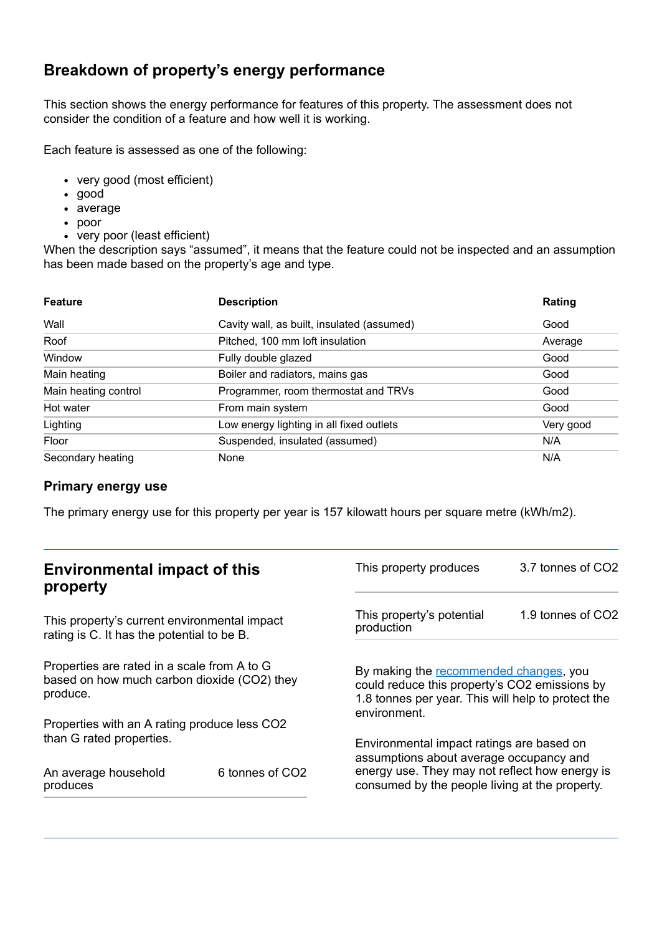## **Breakdown of property's energy performance**

This section shows the energy performance for features of this property. The assessment does not consider the condition of a feature and how well it is working.

Each feature is assessed as one of the following:

- very good (most efficient)
- good
- average
- poor
- very poor (least efficient)

When the description says "assumed", it means that the feature could not be inspected and an assumption has been made based on the property's age and type.

| <b>Feature</b>       | <b>Description</b>                         | Rating    |
|----------------------|--------------------------------------------|-----------|
| Wall                 | Cavity wall, as built, insulated (assumed) | Good      |
| Roof                 | Pitched, 100 mm loft insulation            | Average   |
| Window               | Fully double glazed                        | Good      |
| Main heating         | Boiler and radiators, mains gas            | Good      |
| Main heating control | Programmer, room thermostat and TRVs       | Good      |
| Hot water            | From main system                           | Good      |
| Lighting             | Low energy lighting in all fixed outlets   | Very good |
| Floor                | Suspended, insulated (assumed)             | N/A       |
| Secondary heating    | None                                       | N/A       |

#### **Primary energy use**

The primary energy use for this property per year is 157 kilowatt hours per square metre (kWh/m2).

| <b>Environmental impact of this</b><br>property                                                        |                 | This property produces                                                                                                                                        | 3.7 tonnes of CO2 |
|--------------------------------------------------------------------------------------------------------|-----------------|---------------------------------------------------------------------------------------------------------------------------------------------------------------|-------------------|
| This property's current environmental impact<br>rating is C. It has the potential to be B.             |                 | This property's potential<br>production                                                                                                                       | 1.9 tonnes of CO2 |
| Properties are rated in a scale from A to G<br>based on how much carbon dioxide (CO2) they<br>produce. |                 | By making the recommended changes, you<br>could reduce this property's CO2 emissions by<br>1.8 tonnes per year. This will help to protect the<br>environment. |                   |
| Properties with an A rating produce less CO2                                                           |                 |                                                                                                                                                               |                   |
| than G rated properties.<br>An average household                                                       | 6 tonnes of CO2 | Environmental impact ratings are based on<br>assumptions about average occupancy and<br>energy use. They may not reflect how energy is                        |                   |
| produces                                                                                               |                 | consumed by the people living at the property.                                                                                                                |                   |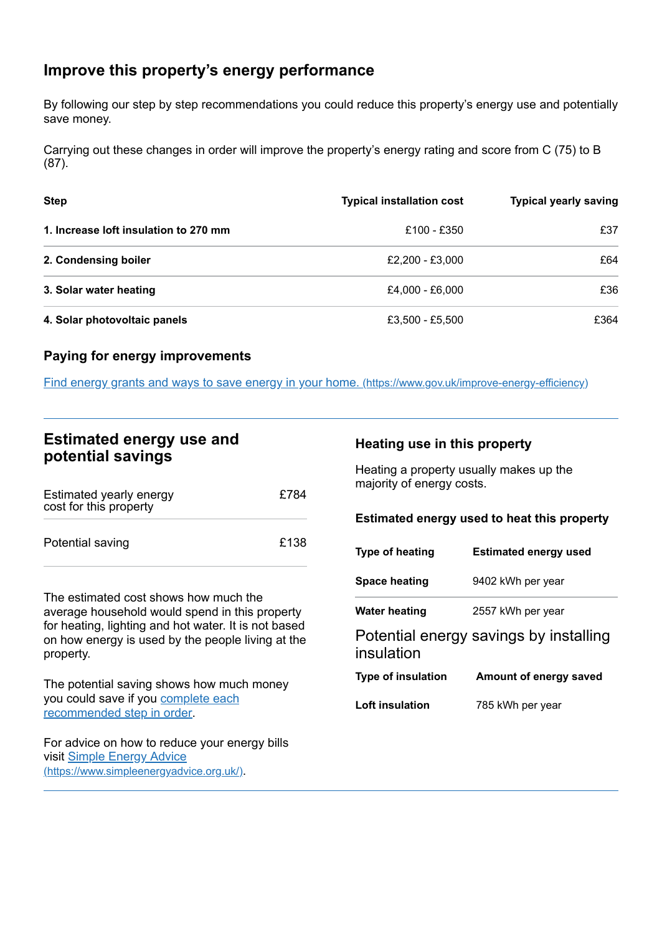## <span id="page-2-0"></span>**Improve this property's energy performance**

By following our step by step recommendations you could reduce this property's energy use and potentially save money.

Carrying out these changes in order will improve the property's energy rating and score from C (75) to B (87).

| <b>Step</b>                           | <b>Typical installation cost</b> | <b>Typical yearly saving</b> |
|---------------------------------------|----------------------------------|------------------------------|
| 1. Increase loft insulation to 270 mm | £100 - £350                      | £37                          |
| 2. Condensing boiler                  | £2,200 - £3,000                  | £64                          |
| 3. Solar water heating                | £4,000 - £6,000                  | £36                          |
| 4. Solar photovoltaic panels          | £3,500 - £5,500                  | £364                         |

#### **Paying for energy improvements**

Find energy grants and ways to save energy in your home. [\(https://www.gov.uk/improve-energy-efficiency\)](https://www.gov.uk/improve-energy-efficiency)

### **Estimated energy use and potential savings**

| Estimated yearly energy<br>cost for this property | £784 |
|---------------------------------------------------|------|
| Potential saving                                  | £138 |

The estimated cost shows how much the average household would spend in this property for heating, lighting and hot water. It is not based on how energy is used by the people living at the property.

The potential saving shows how much money you could save if you complete each [recommended](#page-2-0) step in order.

For advice on how to reduce your energy bills visit Simple Energy Advice [\(https://www.simpleenergyadvice.org.uk/\)](https://www.simpleenergyadvice.org.uk/).

#### **Heating use in this property**

Heating a property usually makes up the majority of energy costs.

#### **Estimated energy used to heat this property**

| Type of heating           | <b>Estimated energy used</b>           |
|---------------------------|----------------------------------------|
| <b>Space heating</b>      | 9402 kWh per year                      |
| <b>Water heating</b>      | 2557 kWh per year                      |
| insulation                | Potential energy savings by installing |
| <b>Type of insulation</b> | Amount of energy saved                 |
| Loft insulation           | 785 kWh per year                       |